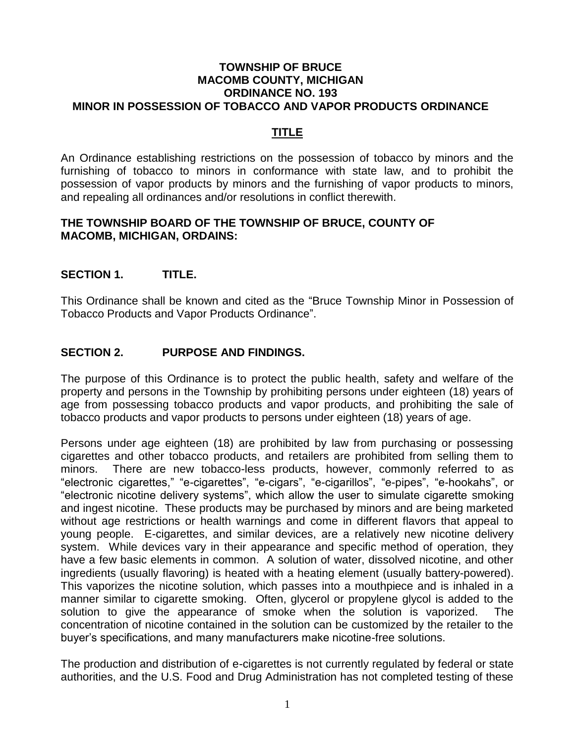#### **TOWNSHIP OF BRUCE MACOMB COUNTY, MICHIGAN ORDINANCE NO. 193 MINOR IN POSSESSION OF TOBACCO AND VAPOR PRODUCTS ORDINANCE**

# **TITLE**

An Ordinance establishing restrictions on the possession of tobacco by minors and the furnishing of tobacco to minors in conformance with state law, and to prohibit the possession of vapor products by minors and the furnishing of vapor products to minors, and repealing all ordinances and/or resolutions in conflict therewith.

#### **THE TOWNSHIP BOARD OF THE TOWNSHIP OF BRUCE, COUNTY OF MACOMB, MICHIGAN, ORDAINS:**

## **SECTION 1. TITLE.**

This Ordinance shall be known and cited as the "Bruce Township Minor in Possession of Tobacco Products and Vapor Products Ordinance".

## **SECTION 2. PURPOSE AND FINDINGS.**

The purpose of this Ordinance is to protect the public health, safety and welfare of the property and persons in the Township by prohibiting persons under eighteen (18) years of age from possessing tobacco products and vapor products, and prohibiting the sale of tobacco products and vapor products to persons under eighteen (18) years of age.

Persons under age eighteen (18) are prohibited by law from purchasing or possessing cigarettes and other tobacco products, and retailers are prohibited from selling them to minors. There are new tobacco-less products, however, commonly referred to as "electronic cigarettes," "e-cigarettes", "e-cigars", "e-cigarillos", "e-pipes", "e-hookahs", or "electronic nicotine delivery systems", which allow the user to simulate cigarette smoking and ingest nicotine. These products may be purchased by minors and are being marketed without age restrictions or health warnings and come in different flavors that appeal to young people. E-cigarettes, and similar devices, are a relatively new nicotine delivery system. While devices vary in their appearance and specific method of operation, they have a few basic elements in common. A solution of water, dissolved nicotine, and other ingredients (usually flavoring) is heated with a heating element (usually battery-powered). This vaporizes the nicotine solution, which passes into a mouthpiece and is inhaled in a manner similar to cigarette smoking. Often, glycerol or propylene glycol is added to the solution to give the appearance of smoke when the solution is vaporized. The concentration of nicotine contained in the solution can be customized by the retailer to the buyer's specifications, and many manufacturers make nicotine-free solutions.

The production and distribution of e-cigarettes is not currently regulated by federal or state authorities, and the U.S. Food and Drug Administration has not completed testing of these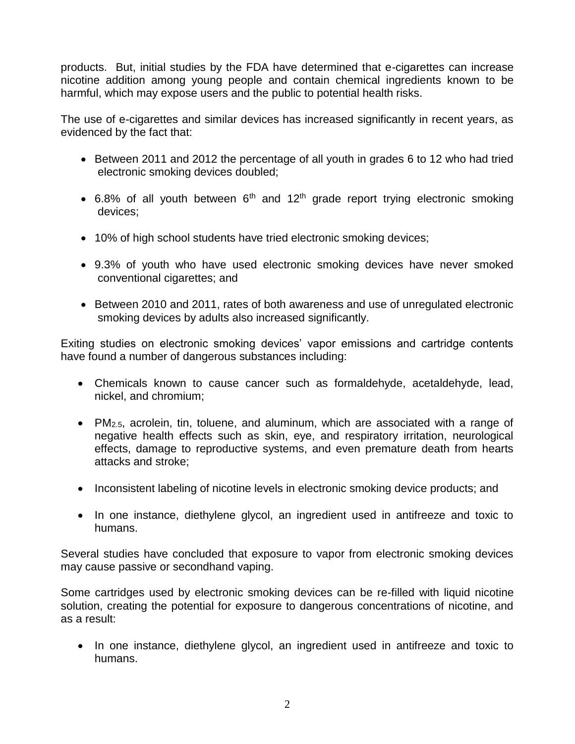products. But, initial studies by the FDA have determined that e-cigarettes can increase nicotine addition among young people and contain chemical ingredients known to be harmful, which may expose users and the public to potential health risks.

The use of e-cigarettes and similar devices has increased significantly in recent years, as evidenced by the fact that:

- Between 2011 and 2012 the percentage of all youth in grades 6 to 12 who had tried electronic smoking devices doubled;
- 6.8% of all youth between  $6<sup>th</sup>$  and 12<sup>th</sup> grade report trying electronic smoking devices;
- 10% of high school students have tried electronic smoking devices;
- 9.3% of youth who have used electronic smoking devices have never smoked conventional cigarettes; and
- Between 2010 and 2011, rates of both awareness and use of unregulated electronic smoking devices by adults also increased significantly.

Exiting studies on electronic smoking devices' vapor emissions and cartridge contents have found a number of dangerous substances including:

- Chemicals known to cause cancer such as formaldehyde, acetaldehyde, lead, nickel, and chromium;
- PM2.5, acrolein, tin, toluene, and aluminum, which are associated with a range of negative health effects such as skin, eye, and respiratory irritation, neurological effects, damage to reproductive systems, and even premature death from hearts attacks and stroke;
- Inconsistent labeling of nicotine levels in electronic smoking device products; and
- In one instance, diethylene glycol, an ingredient used in antifreeze and toxic to humans.

Several studies have concluded that exposure to vapor from electronic smoking devices may cause passive or secondhand vaping.

Some cartridges used by electronic smoking devices can be re-filled with liquid nicotine solution, creating the potential for exposure to dangerous concentrations of nicotine, and as a result:

• In one instance, diethylene glycol, an ingredient used in antifreeze and toxic to humans.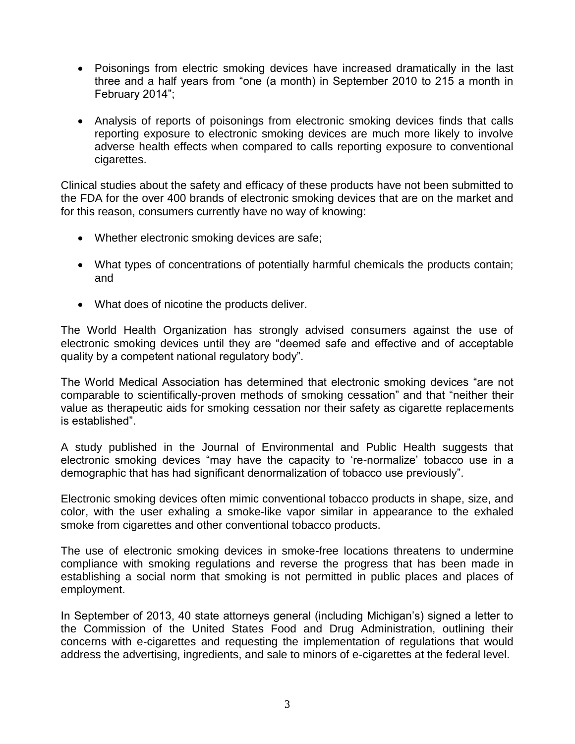- Poisonings from electric smoking devices have increased dramatically in the last three and a half years from "one (a month) in September 2010 to 215 a month in February 2014";
- Analysis of reports of poisonings from electronic smoking devices finds that calls reporting exposure to electronic smoking devices are much more likely to involve adverse health effects when compared to calls reporting exposure to conventional cigarettes.

Clinical studies about the safety and efficacy of these products have not been submitted to the FDA for the over 400 brands of electronic smoking devices that are on the market and for this reason, consumers currently have no way of knowing:

- Whether electronic smoking devices are safe;
- What types of concentrations of potentially harmful chemicals the products contain; and
- What does of nicotine the products deliver.

The World Health Organization has strongly advised consumers against the use of electronic smoking devices until they are "deemed safe and effective and of acceptable quality by a competent national regulatory body".

The World Medical Association has determined that electronic smoking devices "are not comparable to scientifically-proven methods of smoking cessation" and that "neither their value as therapeutic aids for smoking cessation nor their safety as cigarette replacements is established".

A study published in the Journal of Environmental and Public Health suggests that electronic smoking devices "may have the capacity to 're-normalize' tobacco use in a demographic that has had significant denormalization of tobacco use previously".

Electronic smoking devices often mimic conventional tobacco products in shape, size, and color, with the user exhaling a smoke-like vapor similar in appearance to the exhaled smoke from cigarettes and other conventional tobacco products.

The use of electronic smoking devices in smoke-free locations threatens to undermine compliance with smoking regulations and reverse the progress that has been made in establishing a social norm that smoking is not permitted in public places and places of employment.

In September of 2013, 40 state attorneys general (including Michigan's) signed a letter to the Commission of the United States Food and Drug Administration, outlining their concerns with e-cigarettes and requesting the implementation of regulations that would address the advertising, ingredients, and sale to minors of e-cigarettes at the federal level.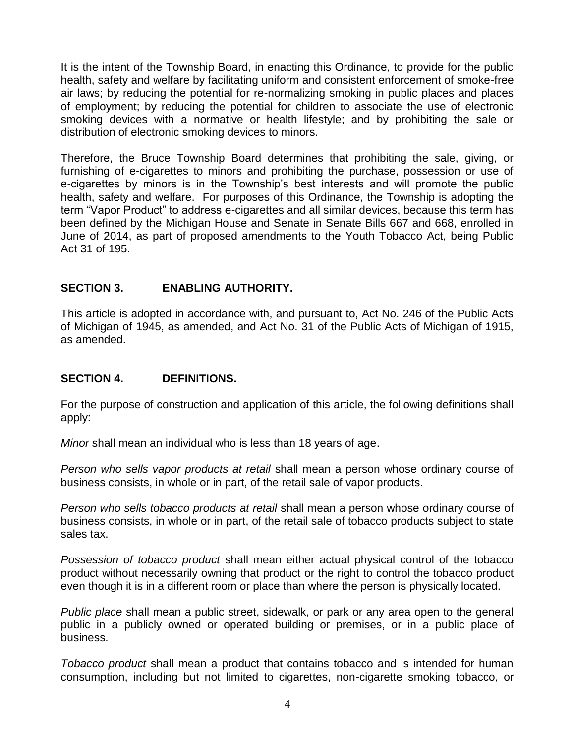It is the intent of the Township Board, in enacting this Ordinance, to provide for the public health, safety and welfare by facilitating uniform and consistent enforcement of smoke-free air laws; by reducing the potential for re-normalizing smoking in public places and places of employment; by reducing the potential for children to associate the use of electronic smoking devices with a normative or health lifestyle; and by prohibiting the sale or distribution of electronic smoking devices to minors.

Therefore, the Bruce Township Board determines that prohibiting the sale, giving, or furnishing of e-cigarettes to minors and prohibiting the purchase, possession or use of e-cigarettes by minors is in the Township's best interests and will promote the public health, safety and welfare. For purposes of this Ordinance, the Township is adopting the term "Vapor Product" to address e-cigarettes and all similar devices, because this term has been defined by the Michigan House and Senate in Senate Bills 667 and 668, enrolled in June of 2014, as part of proposed amendments to the Youth Tobacco Act, being Public Act 31 of 195.

## **SECTION 3. ENABLING AUTHORITY.**

This article is adopted in accordance with, and pursuant to, Act No. 246 of the Public Acts of Michigan of 1945, as amended, and Act No. 31 of the Public Acts of Michigan of 1915, as amended.

## **SECTION 4. DEFINITIONS.**

For the purpose of construction and application of this article, the following definitions shall apply:

*Minor* shall mean an individual who is less than 18 years of age.

*Person who sells vapor products at retail* shall mean a person whose ordinary course of business consists, in whole or in part, of the retail sale of vapor products.

*Person who sells tobacco products at retail* shall mean a person whose ordinary course of business consists, in whole or in part, of the retail sale of tobacco products subject to state sales tax.

*Possession of tobacco product* shall mean either actual physical control of the tobacco product without necessarily owning that product or the right to control the tobacco product even though it is in a different room or place than where the person is physically located.

*Public place* shall mean a public street, sidewalk, or park or any area open to the general public in a publicly owned or operated building or premises, or in a public place of business.

*Tobacco product* shall mean a product that contains tobacco and is intended for human consumption, including but not limited to cigarettes, non-cigarette smoking tobacco, or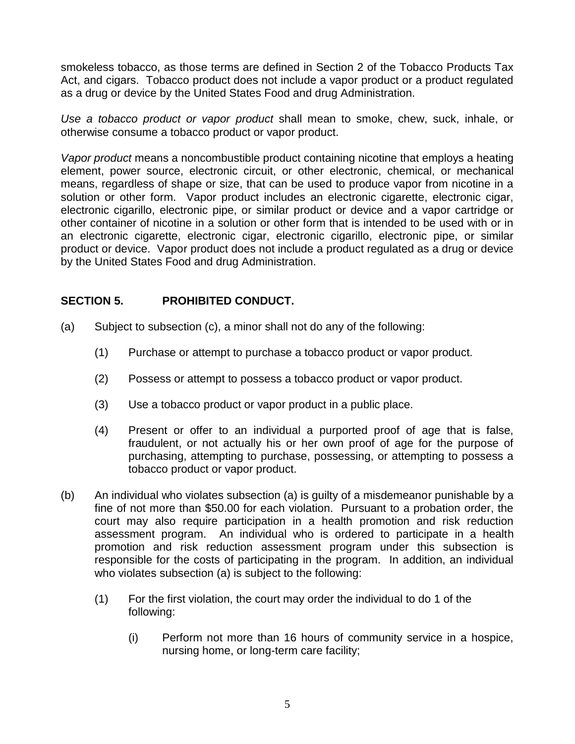smokeless tobacco, as those terms are defined in Section 2 of the Tobacco Products Tax Act, and cigars. Tobacco product does not include a vapor product or a product regulated as a drug or device by the United States Food and drug Administration.

*Use a tobacco product or vapor product* shall mean to smoke, chew, suck, inhale, or otherwise consume a tobacco product or vapor product.

*Vapor product* means a noncombustible product containing nicotine that employs a heating element, power source, electronic circuit, or other electronic, chemical, or mechanical means, regardless of shape or size, that can be used to produce vapor from nicotine in a solution or other form. Vapor product includes an electronic cigarette, electronic cigar, electronic cigarillo, electronic pipe, or similar product or device and a vapor cartridge or other container of nicotine in a solution or other form that is intended to be used with or in an electronic cigarette, electronic cigar, electronic cigarillo, electronic pipe, or similar product or device. Vapor product does not include a product regulated as a drug or device by the United States Food and drug Administration.

# **SECTION 5. PROHIBITED CONDUCT.**

- (a) Subject to subsection (c), a minor shall not do any of the following:
	- (1) Purchase or attempt to purchase a tobacco product or vapor product.
	- (2) Possess or attempt to possess a tobacco product or vapor product.
	- (3) Use a tobacco product or vapor product in a public place.
	- (4) Present or offer to an individual a purported proof of age that is false, fraudulent, or not actually his or her own proof of age for the purpose of purchasing, attempting to purchase, possessing, or attempting to possess a tobacco product or vapor product.
- (b) An individual who violates subsection (a) is guilty of a misdemeanor punishable by a fine of not more than \$50.00 for each violation. Pursuant to a probation order, the court may also require participation in a health promotion and risk reduction assessment program. An individual who is ordered to participate in a health promotion and risk reduction assessment program under this subsection is responsible for the costs of participating in the program. In addition, an individual who violates subsection (a) is subject to the following:
	- (1) For the first violation, the court may order the individual to do 1 of the following:
		- (i) Perform not more than 16 hours of community service in a hospice, nursing home, or long-term care facility;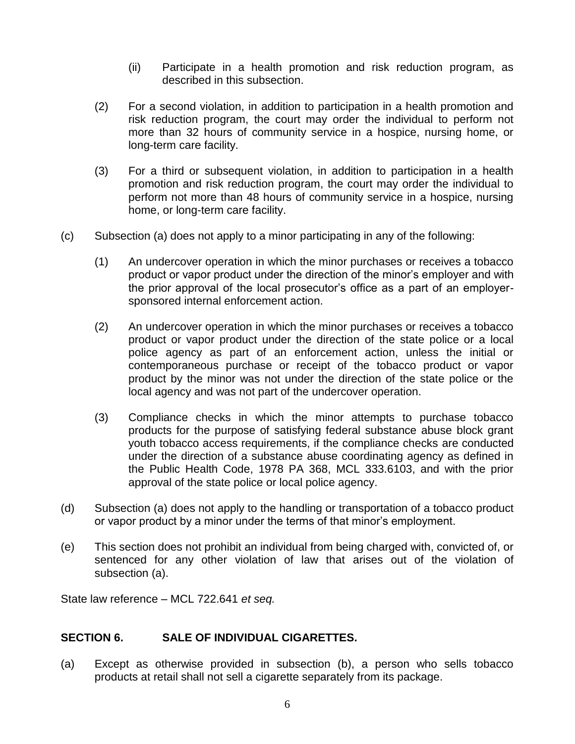- (ii) Participate in a health promotion and risk reduction program, as described in this subsection.
- (2) For a second violation, in addition to participation in a health promotion and risk reduction program, the court may order the individual to perform not more than 32 hours of community service in a hospice, nursing home, or long-term care facility.
- (3) For a third or subsequent violation, in addition to participation in a health promotion and risk reduction program, the court may order the individual to perform not more than 48 hours of community service in a hospice, nursing home, or long-term care facility.
- (c) Subsection (a) does not apply to a minor participating in any of the following:
	- (1) An undercover operation in which the minor purchases or receives a tobacco product or vapor product under the direction of the minor's employer and with the prior approval of the local prosecutor's office as a part of an employersponsored internal enforcement action.
	- (2) An undercover operation in which the minor purchases or receives a tobacco product or vapor product under the direction of the state police or a local police agency as part of an enforcement action, unless the initial or contemporaneous purchase or receipt of the tobacco product or vapor product by the minor was not under the direction of the state police or the local agency and was not part of the undercover operation.
	- (3) Compliance checks in which the minor attempts to purchase tobacco products for the purpose of satisfying federal substance abuse block grant youth tobacco access requirements, if the compliance checks are conducted under the direction of a substance abuse coordinating agency as defined in the Public Health Code, 1978 PA 368, MCL 333.6103, and with the prior approval of the state police or local police agency.
- (d) Subsection (a) does not apply to the handling or transportation of a tobacco product or vapor product by a minor under the terms of that minor's employment.
- (e) This section does not prohibit an individual from being charged with, convicted of, or sentenced for any other violation of law that arises out of the violation of subsection (a).

State law reference – MCL 722.641 *et seq.*

## **SECTION 6. SALE OF INDIVIDUAL CIGARETTES.**

(a) Except as otherwise provided in subsection (b), a person who sells tobacco products at retail shall not sell a cigarette separately from its package.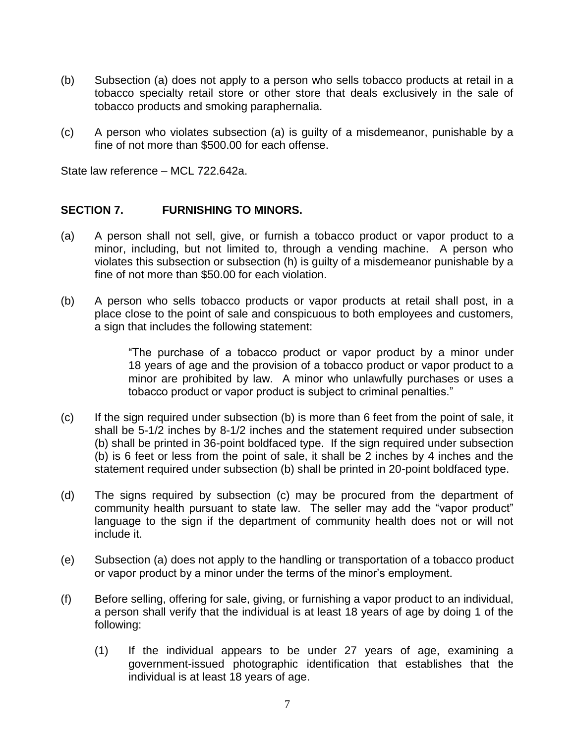- (b) Subsection (a) does not apply to a person who sells tobacco products at retail in a tobacco specialty retail store or other store that deals exclusively in the sale of tobacco products and smoking paraphernalia.
- (c) A person who violates subsection (a) is guilty of a misdemeanor, punishable by a fine of not more than \$500.00 for each offense.

State law reference – MCL 722.642a.

## **SECTION 7. FURNISHING TO MINORS.**

- (a) A person shall not sell, give, or furnish a tobacco product or vapor product to a minor, including, but not limited to, through a vending machine. A person who violates this subsection or subsection (h) is guilty of a misdemeanor punishable by a fine of not more than \$50.00 for each violation.
- (b) A person who sells tobacco products or vapor products at retail shall post, in a place close to the point of sale and conspicuous to both employees and customers, a sign that includes the following statement:

"The purchase of a tobacco product or vapor product by a minor under 18 years of age and the provision of a tobacco product or vapor product to a minor are prohibited by law. A minor who unlawfully purchases or uses a tobacco product or vapor product is subject to criminal penalties."

- (c) If the sign required under subsection (b) is more than 6 feet from the point of sale, it shall be 5-1/2 inches by 8-1/2 inches and the statement required under subsection (b) shall be printed in 36-point boldfaced type. If the sign required under subsection (b) is 6 feet or less from the point of sale, it shall be 2 inches by 4 inches and the statement required under subsection (b) shall be printed in 20-point boldfaced type.
- (d) The signs required by subsection (c) may be procured from the department of community health pursuant to state law. The seller may add the "vapor product" language to the sign if the department of community health does not or will not include it.
- (e) Subsection (a) does not apply to the handling or transportation of a tobacco product or vapor product by a minor under the terms of the minor's employment.
- (f) Before selling, offering for sale, giving, or furnishing a vapor product to an individual, a person shall verify that the individual is at least 18 years of age by doing 1 of the following:
	- (1) If the individual appears to be under 27 years of age, examining a government-issued photographic identification that establishes that the individual is at least 18 years of age.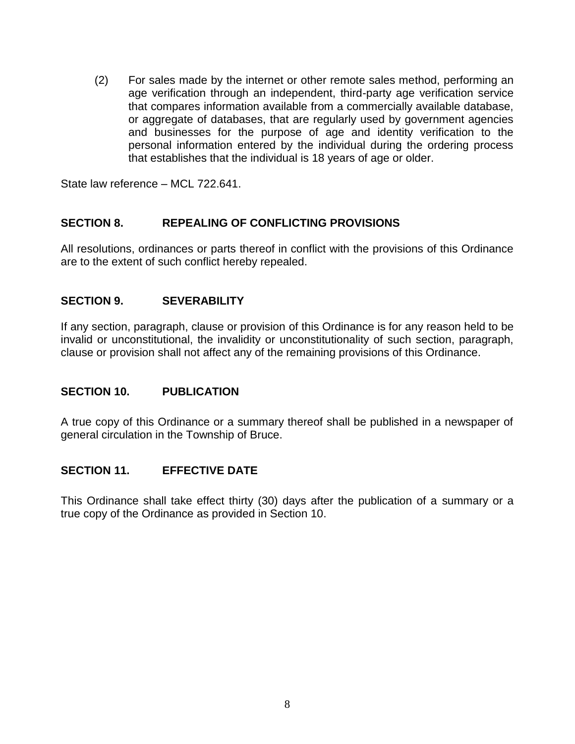(2) For sales made by the internet or other remote sales method, performing an age verification through an independent, third-party age verification service that compares information available from a commercially available database, or aggregate of databases, that are regularly used by government agencies and businesses for the purpose of age and identity verification to the personal information entered by the individual during the ordering process that establishes that the individual is 18 years of age or older.

State law reference – MCL 722.641.

## **SECTION 8. REPEALING OF CONFLICTING PROVISIONS**

All resolutions, ordinances or parts thereof in conflict with the provisions of this Ordinance are to the extent of such conflict hereby repealed.

## **SECTION 9. SEVERABILITY**

If any section, paragraph, clause or provision of this Ordinance is for any reason held to be invalid or unconstitutional, the invalidity or unconstitutionality of such section, paragraph, clause or provision shall not affect any of the remaining provisions of this Ordinance.

## **SECTION 10. PUBLICATION**

A true copy of this Ordinance or a summary thereof shall be published in a newspaper of general circulation in the Township of Bruce.

## **SECTION 11. EFFECTIVE DATE**

This Ordinance shall take effect thirty (30) days after the publication of a summary or a true copy of the Ordinance as provided in Section 10.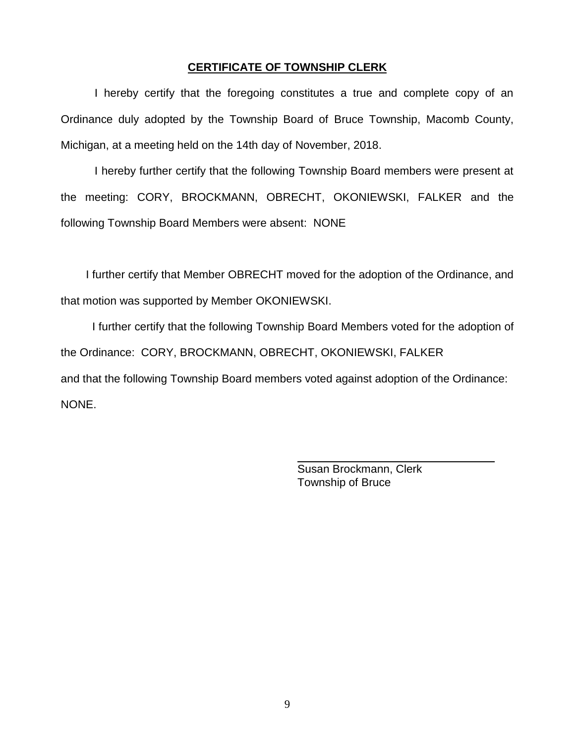#### **CERTIFICATE OF TOWNSHIP CLERK**

I hereby certify that the foregoing constitutes a true and complete copy of an Ordinance duly adopted by the Township Board of Bruce Township, Macomb County, Michigan, at a meeting held on the 14th day of November, 2018.

I hereby further certify that the following Township Board members were present at the meeting: CORY, BROCKMANN, OBRECHT, OKONIEWSKI, FALKER and the following Township Board Members were absent: NONE

 I further certify that Member OBRECHT moved for the adoption of the Ordinance, and that motion was supported by Member OKONIEWSKI.

 I further certify that the following Township Board Members voted for the adoption of the Ordinance: CORY, BROCKMANN, OBRECHT, OKONIEWSKI, FALKER and that the following Township Board members voted against adoption of the Ordinance: NONE.

 $\overline{\phantom{a}}$ 

 Susan Brockmann, Clerk Township of Bruce